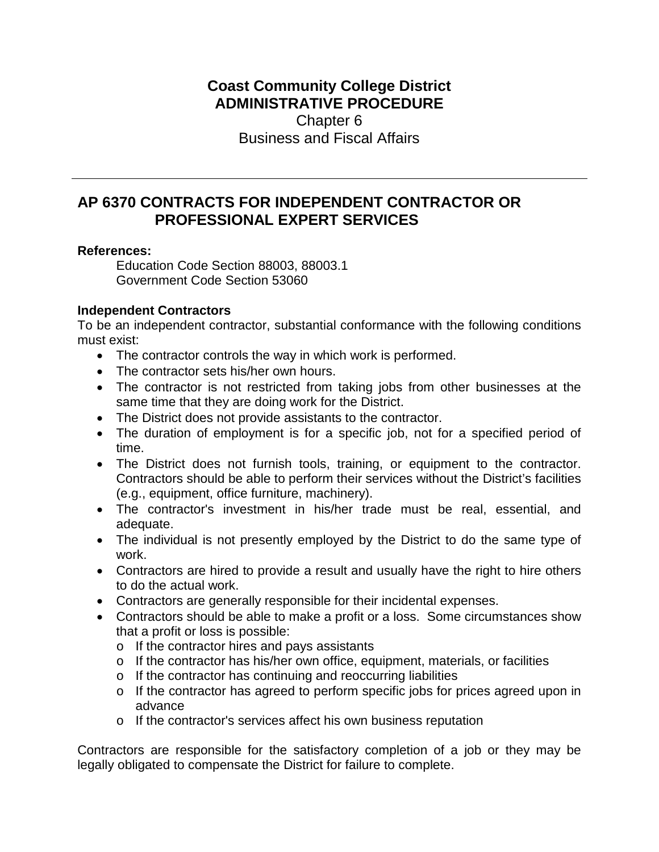# **Coast Community College District ADMINISTRATIVE PROCEDURE** Chapter 6 Business and Fiscal Affairs

# **AP 6370 CONTRACTS FOR INDEPENDENT CONTRACTOR OR PROFESSIONAL EXPERT SERVICES**

#### **References:**

Education Code Section 88003, 88003.1 Government Code Section 53060

## **Independent Contractors**

To be an independent contractor, substantial conformance with the following conditions must exist:

- The contractor controls the way in which work is performed.
- The contractor sets his/her own hours.
- The contractor is not restricted from taking jobs from other businesses at the same time that they are doing work for the District.
- The District does not provide assistants to the contractor.
- The duration of employment is for a specific job, not for a specified period of time.
- The District does not furnish tools, training, or equipment to the contractor. Contractors should be able to perform their services without the District's facilities (e.g., equipment, office furniture, machinery).
- The contractor's investment in his/her trade must be real, essential, and adequate.
- The individual is not presently employed by the District to do the same type of work.
- Contractors are hired to provide a result and usually have the right to hire others to do the actual work.
- Contractors are generally responsible for their incidental expenses.
- Contractors should be able to make a profit or a loss. Some circumstances show that a profit or loss is possible:
	- o If the contractor hires and pays assistants
	- o If the contractor has his/her own office, equipment, materials, or facilities
	- o If the contractor has continuing and reoccurring liabilities
	- o If the contractor has agreed to perform specific jobs for prices agreed upon in advance
	- o If the contractor's services affect his own business reputation

Contractors are responsible for the satisfactory completion of a job or they may be legally obligated to compensate the District for failure to complete.